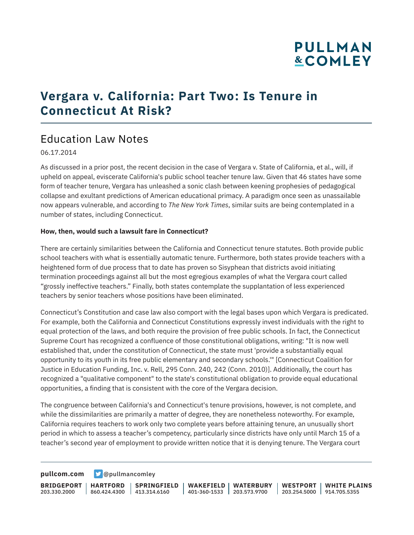# **PULLMAN &COMLEY**

## **Vergara v. California: Part Two: Is Tenure in Connecticut At Risk?**

### Education Law Notes

#### 06.17.2014

As discussed in a prior post, the recent decision in the case of Vergara v. State of California, et al., will, if upheld on appeal, eviscerate California's public school teacher tenure law. Given that 46 states have some form of teacher tenure, Vergara has unleashed a sonic clash between keening prophesies of pedagogical collapse and exultant predictions of American educational primacy. A paradigm once seen as unassailable now appears vulnerable, and according to *The New York Times*, similar suits are being contemplated in a number of states, including Connecticut.

#### **How, then, would such a lawsuit fare in Connecticut?**

There are certainly similarities between the California and Connecticut tenure statutes. Both provide public school teachers with what is essentially automatic tenure. Furthermore, both states provide teachers with a heightened form of due process that to date has proven so Sisyphean that districts avoid initiating termination proceedings against all but the most egregious examples of what the Vergara court called "grossly ineffective teachers." Finally, both states contemplate the supplantation of less experienced teachers by senior teachers whose positions have been eliminated.

Connecticut's Constitution and case law also comport with the legal bases upon which Vergara is predicated. For example, both the California and Connecticut Constitutions expressly invest individuals with the right to equal protection of the laws, and both require the provision of free public schools. In fact, the Connecticut Supreme Court has recognized a confluence of those constitutional obligations, writing: "It is now well established that, under the constitution of Connecticut, the state must 'provide a substantially equal opportunity to its youth in its free public elementary and secondary schools.'" [Connecticut Coalition for Justice in Education Funding, Inc. v. Rell, 295 Conn. 240, 242 (Conn. 2010)]. Additionally, the court has recognized a "qualitative component" to the state's constitutional obligation to provide equal educational opportunities, a finding that is consistent with the core of the Vergara decision.

The congruence between California's and Connecticut's tenure provisions, however, is not complete, and while the dissimilarities are primarily a matter of degree, they are nonetheless noteworthy. For example, California requires teachers to work only two complete years before attaining tenure, an unusually short period in which to assess a teacher's competency, particularly since districts have only until March 15 of a teacher's second year of employment to provide written notice that it is denying tenure. The Vergara court

**[pullcom.com](https://www.pullcom.com) g** [@pullmancomley](https://twitter.com/PullmanComley)

**BRIDGEPORT HARTFORD** 203.330.2000

860.424.4300 413.314.6160 **SPRINGFIELD** **WAKEFIELD WATERBURY** 401-360-1533 203.573.9700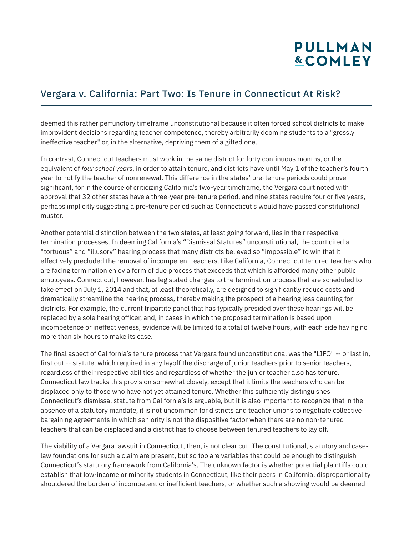# **PULLMAN &COMLEY**

### Vergara v. California: Part Two: Is Tenure in Connecticut At Risk?

deemed this rather perfunctory timeframe unconstitutional because it often forced school districts to make improvident decisions regarding teacher competence, thereby arbitrarily dooming students to a "grossly ineffective teacher" or, in the alternative, depriving them of a gifted one.

In contrast, Connecticut teachers must work in the same district for forty continuous months, or the equivalent of *four school years*, in order to attain tenure, and districts have until May 1 of the teacher's fourth year to notify the teacher of nonrenewal. This difference in the states' pre-tenure periods could prove significant, for in the course of criticizing California's two-year timeframe, the Vergara court noted with approval that 32 other states have a three-year pre-tenure period, and nine states require four or five years, perhaps implicitly suggesting a pre-tenure period such as Connecticut's would have passed constitutional muster.

Another potential distinction between the two states, at least going forward, lies in their respective termination processes. In deeming California's "Dismissal Statutes" unconstitutional, the court cited a "tortuous" and "illusory" hearing process that many districts believed so "impossible" to win that it effectively precluded the removal of incompetent teachers. Like California, Connecticut tenured teachers who are facing termination enjoy a form of due process that exceeds that which is afforded many other public employees. Connecticut, however, has legislated changes to the termination process that are scheduled to take effect on July 1, 2014 and that, at least theoretically, are designed to significantly reduce costs and dramatically streamline the hearing process, thereby making the prospect of a hearing less daunting for districts. For example, the current tripartite panel that has typically presided over these hearings will be replaced by a sole hearing officer, and, in cases in which the proposed termination is based upon incompetence or ineffectiveness, evidence will be limited to a total of twelve hours, with each side having no more than six hours to make its case.

The final aspect of California's tenure process that Vergara found unconstitutional was the "LIFO" -- or last in, first out -- statute, which required in any layoff the discharge of junior teachers prior to senior teachers, regardless of their respective abilities and regardless of whether the junior teacher also has tenure. Connecticut law tracks this provision somewhat closely, except that it limits the teachers who can be displaced only to those who have not yet attained tenure. Whether this sufficiently distinguishes Connecticut's dismissal statute from California's is arguable, but it is also important to recognize that in the absence of a statutory mandate, it is not uncommon for districts and teacher unions to negotiate collective bargaining agreements in which seniority is not the dispositive factor when there are no non-tenured teachers that can be displaced and a district has to choose between tenured teachers to lay off.

The viability of a Vergara lawsuit in Connecticut, then, is not clear cut. The constitutional, statutory and caselaw foundations for such a claim are present, but so too are variables that could be enough to distinguish Connecticut's statutory framework from California's. The unknown factor is whether potential plaintiffs could establish that low-income or minority students in Connecticut, like their peers in California, disproportionality shouldered the burden of incompetent or inefficient teachers, or whether such a showing would be deemed